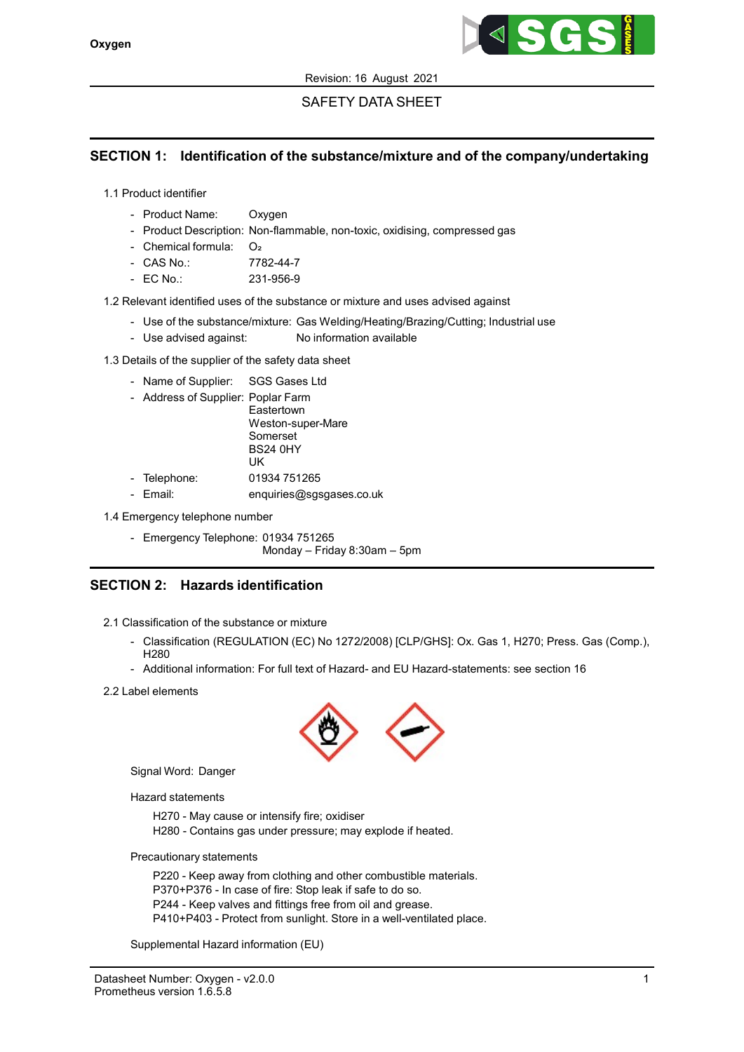

# SAFETY DATA SHEET

# SECTION 1: Identification of the substance/mixture and of the company/undertaking

1.1 Product identifier

- Product Name: Oxygen
- Product Description: Non-flammable, non-toxic, oxidising, compressed gas
- Chemical formula: O₂
- CAS No.: 7782-44-7
- EC No.: 231-956-9

1.2 Relevant identified uses of the substance or mixture and uses advised against

- Use of the substance/mixture: Gas Welding/Heating/Brazing/Cutting; Industrial use
- Use advised against: No information available

1.3 Details of the supplier of the safety data sheet

- Name of Supplier: SGS Gases Ltd
- Address of Supplier: Poplar Farm

**Eastertown** Weston-super-Mare Somerset BS24 0HY UK - Telephone: 01934 751265

- Email: enquiries@sgsgases.co.uk

1.4 Emergency telephone number

- Emergency Telephone: 01934 751265

Monday – Friday 8:30am – 5pm

# SECTION 2: Hazards identification

- 2.1 Classification of the substance or mixture
	- Classification (REGULATION (EC) No 1272/2008) [CLP/GHS]: Ox. Gas 1, H270; Press. Gas (Comp.), H280
	- Additional information: For full text of Hazard- and EU Hazard-statements: see section 16
- 2.2 Label elements



Signal Word: Danger

Hazard statements

H270 - May cause or intensify fire; oxidiser H280 - Contains gas under pressure; may explode if heated.

Precautionary statements

P220 - Keep away from clothing and other combustible materials. P370+P376 - In case of fire: Stop leak if safe to do so. P244 - Keep valves and fittings free from oil and grease. P410+P403 - Protect from sunlight. Store in a well-ventilated place.

Supplemental Hazard information (EU)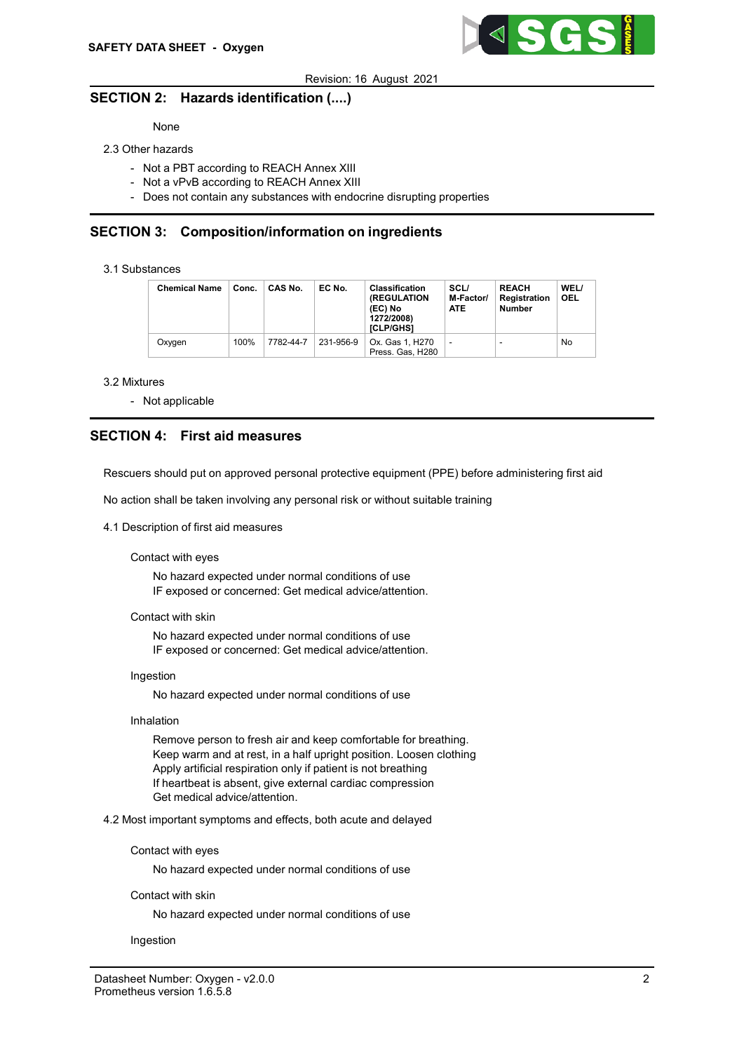

## SECTION 2: Hazards identification (....)

## None

## 2.3 Other hazards

- Not a PBT according to REACH Annex XIII
- Not a vPvB according to REACH Annex XIII
- Does not contain any substances with endocrine disrupting properties

## SECTION 3: Composition/information on ingredients

## 3.1 Substances

| <b>Chemical Name</b> | Conc. | CAS No.   | EC No.    | <b>Classification</b><br><b>(REGULATION)</b><br>(EC) No<br>1272/2008)<br>[CLP/GHS] | SCL/<br>M-Factor/<br><b>ATE</b> | <b>REACH</b><br><b>Registration</b><br>Number | WEL/<br><b>OEL</b> |
|----------------------|-------|-----------|-----------|------------------------------------------------------------------------------------|---------------------------------|-----------------------------------------------|--------------------|
| Oxvaen               | 100%  | 7782-44-7 | 231-956-9 | Ox. Gas 1. H270<br>Press. Gas, H280                                                | ٠                               |                                               | No                 |

#### 3.2 Mixtures

- Not applicable

# SECTION 4: First aid measures

Rescuers should put on approved personal protective equipment (PPE) before administering first aid

No action shall be taken involving any personal risk or without suitable training

## 4.1 Description of first aid measures

### Contact with eyes

No hazard expected under normal conditions of use IF exposed or concerned: Get medical advice/attention.

#### Contact with skin

No hazard expected under normal conditions of use IF exposed or concerned: Get medical advice/attention.

### Ingestion

No hazard expected under normal conditions of use

## Inhalation

Remove person to fresh air and keep comfortable for breathing. Keep warm and at rest, in a half upright position. Loosen clothing Apply artificial respiration only if patient is not breathing If heartbeat is absent, give external cardiac compression Get medical advice/attention.

4.2 Most important symptoms and effects, both acute and delayed

### Contact with eyes

No hazard expected under normal conditions of use

### Contact with skin

No hazard expected under normal conditions of use

### Ingestion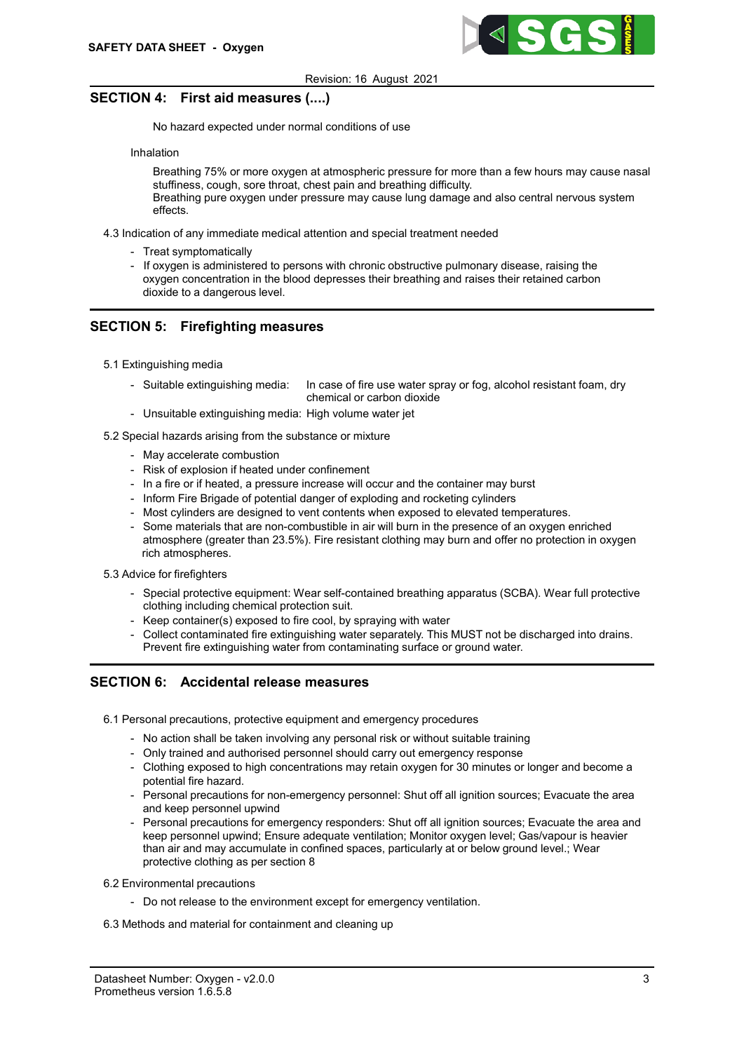

# SECTION 4: First aid measures (....)

No hazard expected under normal conditions of use

## Inhalation

Breathing 75% or more oxygen at atmospheric pressure for more than a few hours may cause nasal stuffiness, cough, sore throat, chest pain and breathing difficulty.

Breathing pure oxygen under pressure may cause lung damage and also central nervous system effects.

4.3 Indication of any immediate medical attention and special treatment needed

- Treat symptomatically
- If oxygen is administered to persons with chronic obstructive pulmonary disease, raising the oxygen concentration in the blood depresses their breathing and raises their retained carbon dioxide to a dangerous level.

# SECTION 5: Firefighting measures

- 5.1 Extinguishing media
	- Suitable extinguishing media: In case of fire use water spray or fog, alcohol resistant foam, dry chemical or carbon dioxide
	- Unsuitable extinguishing media: High volume water jet
- 5.2 Special hazards arising from the substance or mixture
	- May accelerate combustion
	- Risk of explosion if heated under confinement
	- In a fire or if heated, a pressure increase will occur and the container may burst
	- Inform Fire Brigade of potential danger of exploding and rocketing cylinders
	- Most cylinders are designed to vent contents when exposed to elevated temperatures.
	- Some materials that are non-combustible in air will burn in the presence of an oxygen enriched atmosphere (greater than 23.5%). Fire resistant clothing may burn and offer no protection in oxygen rich atmospheres.

### 5.3 Advice for firefighters

- Special protective equipment: Wear self-contained breathing apparatus (SCBA). Wear full protective clothing including chemical protection suit.
- Keep container(s) exposed to fire cool, by spraying with water
- Collect contaminated fire extinguishing water separately. This MUST not be discharged into drains. Prevent fire extinguishing water from contaminating surface or ground water.

## SECTION 6: Accidental release measures

- 6.1 Personal precautions, protective equipment and emergency procedures
	- No action shall be taken involving any personal risk or without suitable training
	- Only trained and authorised personnel should carry out emergency response
	- Clothing exposed to high concentrations may retain oxygen for 30 minutes or longer and become a potential fire hazard.
	- Personal precautions for non-emergency personnel: Shut off all ignition sources; Evacuate the area and keep personnel upwind
	- Personal precautions for emergency responders: Shut off all ignition sources; Evacuate the area and keep personnel upwind; Ensure adequate ventilation; Monitor oxygen level; Gas/vapour is heavier than air and may accumulate in confined spaces, particularly at or below ground level.; Wear protective clothing as per section 8
- 6.2 Environmental precautions
	- Do not release to the environment except for emergency ventilation.
- 6.3 Methods and material for containment and cleaning up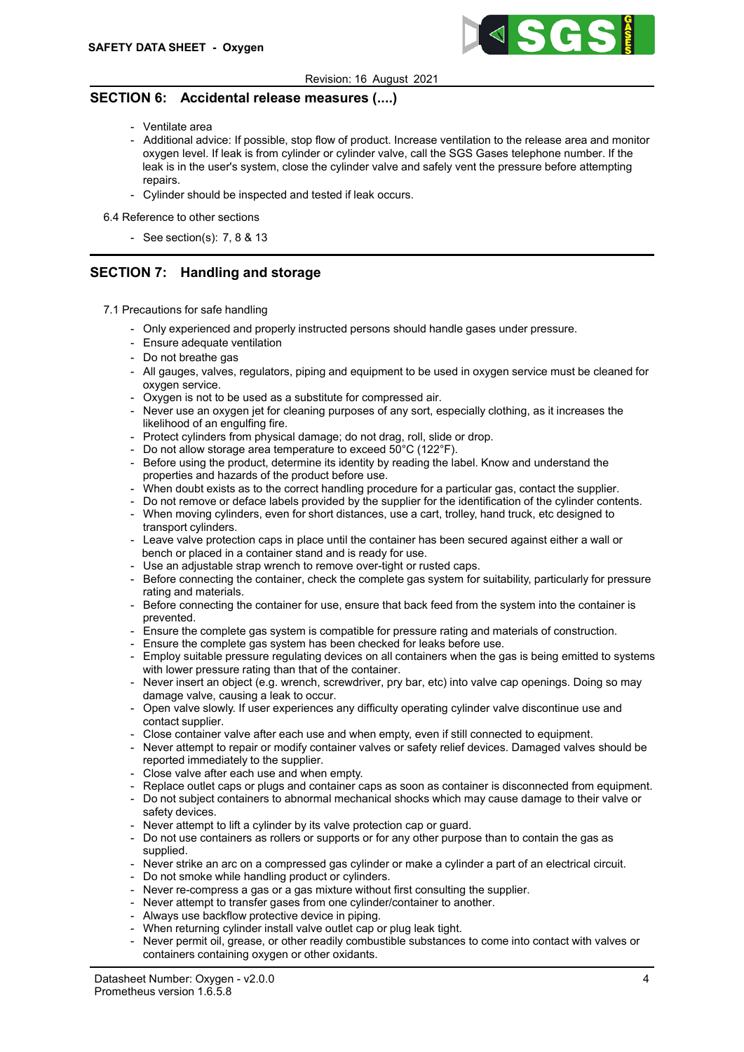

## SECTION 6: Accidental release measures (....)

- Ventilate area
- Additional advice: If possible, stop flow of product. Increase ventilation to the release area and monitor oxygen level. If leak is from cylinder or cylinder valve, call the SGS Gases telephone number. If the leak is in the user's system, close the cylinder valve and safely vent the pressure before attempting repairs.
- Cylinder should be inspected and tested if leak occurs.

6.4 Reference to other sections

- See section(s): 7, 8 & 13

# SECTION 7: Handling and storage

- 7.1 Precautions for safe handling
	- Only experienced and properly instructed persons should handle gases under pressure.
	- Ensure adequate ventilation
	- Do not breathe gas
	- All gauges, valves, regulators, piping and equipment to be used in oxygen service must be cleaned for oxygen service.
	- Oxygen is not to be used as a substitute for compressed air.
	- Never use an oxygen jet for cleaning purposes of any sort, especially clothing, as it increases the likelihood of an engulfing fire.
	- Protect cylinders from physical damage; do not drag, roll, slide or drop.
	- Do not allow storage area temperature to exceed 50°C (122°F).
	- Before using the product, determine its identity by reading the label. Know and understand the properties and hazards of the product before use.
	- When doubt exists as to the correct handling procedure for a particular gas, contact the supplier.
	- Do not remove or deface labels provided by the supplier for the identification of the cylinder contents. - When moving cylinders, even for short distances, use a cart, trolley, hand truck, etc designed to
	- transport cylinders.
	- Leave valve protection caps in place until the container has been secured against either a wall or bench or placed in a container stand and is ready for use.
	- Use an adjustable strap wrench to remove over-tight or rusted caps.
	- Before connecting the container, check the complete gas system for suitability, particularly for pressure rating and materials.
	- Before connecting the container for use, ensure that back feed from the system into the container is prevented.
	- Ensure the complete gas system is compatible for pressure rating and materials of construction.
	- Ensure the complete gas system has been checked for leaks before use.
	- Employ suitable pressure regulating devices on all containers when the gas is being emitted to systems with lower pressure rating than that of the container.
	- Never insert an object (e.g. wrench, screwdriver, pry bar, etc) into valve cap openings. Doing so may damage valve, causing a leak to occur.
	- Open valve slowly. If user experiences any difficulty operating cylinder valve discontinue use and contact supplier.
	- Close container valve after each use and when empty, even if still connected to equipment.
	- Never attempt to repair or modify container valves or safety relief devices. Damaged valves should be reported immediately to the supplier.
	- Close valve after each use and when empty.
	- Replace outlet caps or plugs and container caps as soon as container is disconnected from equipment.
	- Do not subject containers to abnormal mechanical shocks which may cause damage to their valve or safety devices.
	- Never attempt to lift a cylinder by its valve protection cap or guard.
	- Do not use containers as rollers or supports or for any other purpose than to contain the gas as supplied.
	- Never strike an arc on a compressed gas cylinder or make a cylinder a part of an electrical circuit.
	- Do not smoke while handling product or cylinders.
	- Never re-compress a gas or a gas mixture without first consulting the supplier.
	- Never attempt to transfer gases from one cylinder/container to another.
	- Always use backflow protective device in piping.
	- When returning cylinder install valve outlet cap or plug leak tight.
	- Never permit oil, grease, or other readily combustible substances to come into contact with valves or containers containing oxygen or other oxidants.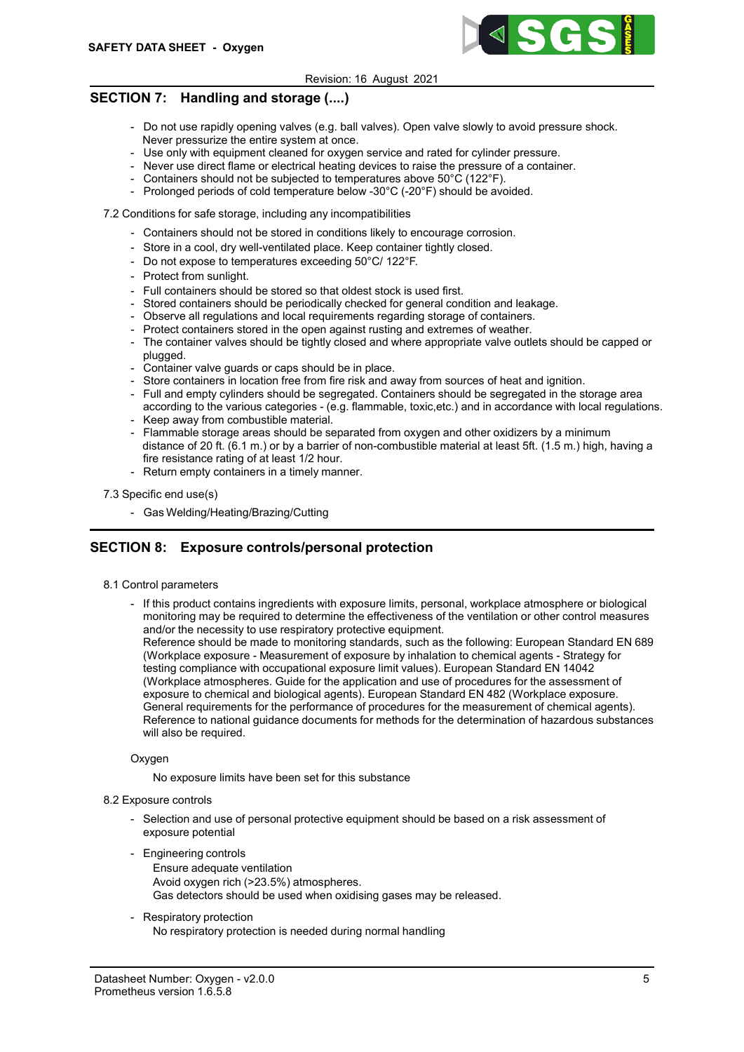

# SECTION 7: Handling and storage (....)

- Do not use rapidly opening valves (e.g. ball valves). Open valve slowly to avoid pressure shock. Never pressurize the entire system at once.
- Use only with equipment cleaned for oxygen service and rated for cylinder pressure.
- Never use direct flame or electrical heating devices to raise the pressure of a container.
- Containers should not be subjected to temperatures above 50°C (122°F).
- Prolonged periods of cold temperature below -30°C (-20°F) should be avoided.

7.2 Conditions for safe storage, including any incompatibilities

- Containers should not be stored in conditions likely to encourage corrosion.
- Store in a cool, dry well-ventilated place. Keep container tightly closed.
- Do not expose to temperatures exceeding 50°C/ 122°F.
- Protect from sunlight.
- Full containers should be stored so that oldest stock is used first.
- Stored containers should be periodically checked for general condition and leakage.
- Observe all regulations and local requirements regarding storage of containers.
- Protect containers stored in the open against rusting and extremes of weather.
- The container valves should be tightly closed and where appropriate valve outlets should be capped or plugged.
- Container valve guards or caps should be in place.
- Store containers in location free from fire risk and away from sources of heat and ignition.
- Full and empty cylinders should be segregated. Containers should be segregated in the storage area according to the various categories - (e.g. flammable, toxic,etc.) and in accordance with local regulations.
- Keep away from combustible material.
- Flammable storage areas should be separated from oxygen and other oxidizers by a minimum distance of 20 ft. (6.1 m.) or by a barrier of non-combustible material at least 5ft. (1.5 m.) high, having a fire resistance rating of at least 1/2 hour.
- Return empty containers in a timely manner.

## 7.3 Specific end use(s)

- Gas Welding/Heating/Brazing/Cutting

# SECTION 8: Exposure controls/personal protection

- 8.1 Control parameters
	- If this product contains ingredients with exposure limits, personal, workplace atmosphere or biological monitoring may be required to determine the effectiveness of the ventilation or other control measures and/or the necessity to use respiratory protective equipment.

Reference should be made to monitoring standards, such as the following: European Standard EN 689 (Workplace exposure - Measurement of exposure by inhalation to chemical agents - Strategy for testing compliance with occupational exposure limit values). European Standard EN 14042 (Workplace atmospheres. Guide for the application and use of procedures for the assessment of exposure to chemical and biological agents). European Standard EN 482 (Workplace exposure. General requirements for the performance of procedures for the measurement of chemical agents). Reference to national guidance documents for methods for the determination of hazardous substances will also be required.

## **Oxygen**

No exposure limits have been set for this substance

## 8.2 Exposure controls

- Selection and use of personal protective equipment should be based on a risk assessment of exposure potential
- Engineering controls
	- Ensure adequate ventilation Avoid oxygen rich (>23.5%) atmospheres. Gas detectors should be used when oxidising gases may be released.
- Respiratory protection No respiratory protection is needed during normal handling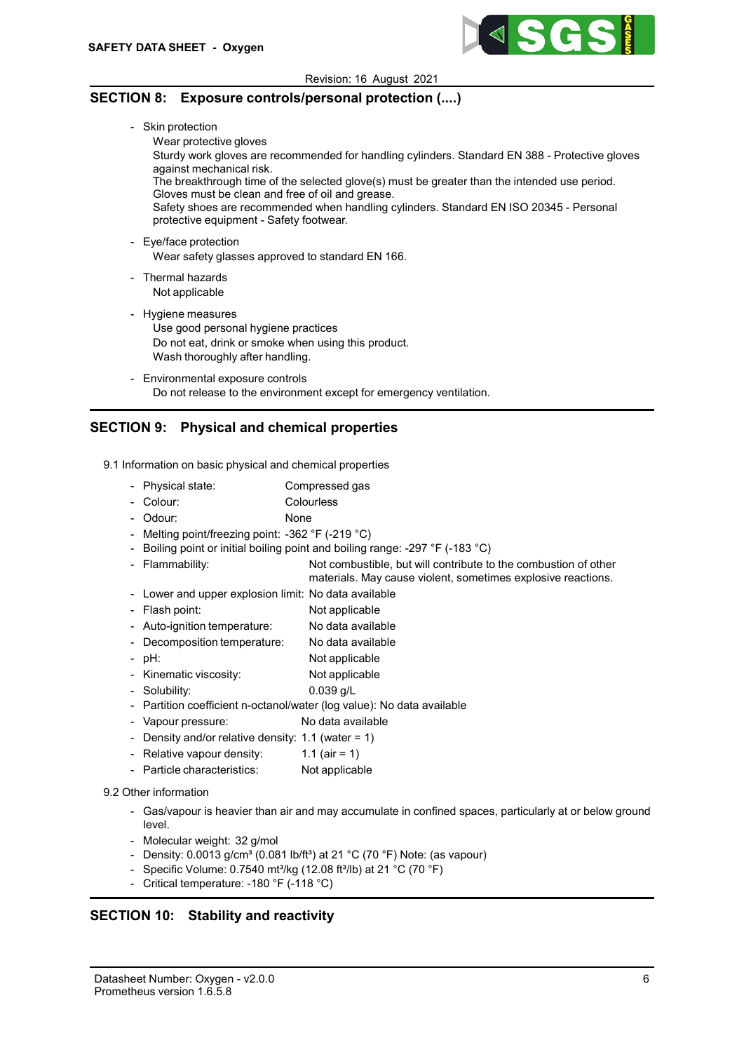

# SECTION 8: Exposure controls/personal protection (....)

- Skin protection

Wear protective gloves

Sturdy work gloves are recommended for handling cylinders. Standard EN 388 - Protective gloves against mechanical risk.

The breakthrough time of the selected glove(s) must be greater than the intended use period. Gloves must be clean and free of oil and grease.

Safety shoes are recommended when handling cylinders. Standard EN ISO 20345 - Personal protective equipment - Safety footwear.

- Eye/face protection Wear safety glasses approved to standard EN 166.
- Thermal hazards Not applicable
- Hygiene measures
	- Use good personal hygiene practices Do not eat, drink or smoke when using this product. Wash thoroughly after handling.
- Environmental exposure controls Do not release to the environment except for emergency ventilation.

# SECTION 9: Physical and chemical properties

9.1 Information on basic physical and chemical properties

- Physical state: Compressed gas
- Colour: Colourless
- Odour: None
- Melting point/freezing point: -362 °F (-219 °C)
- Boiling point or initial boiling point and boiling range: -297 °F (-183 °C)
- Flammability: Not combustible, but will contribute to the combustion of other materials. May cause violent, sometimes explosive reactions.
- Lower and upper explosion limit: No data available
- Flash point: Not applicable
- Auto-ignition temperature: No data available
- Decomposition temperature: No data available
- pH: Not applicable
- Kinematic viscosity: Not applicable
- Solubility: 0.039 g/L
- Partition coefficient n-octanol/water (log value): No data available
- Vapour pressure: No data available
- Density and/or relative density: 1.1 (water = 1)
- Relative vapour density:  $1.1$  (air = 1)
- Particle characteristics: Not applicable

## 9.2 Other information

- Gas/vapour is heavier than air and may accumulate in confined spaces, particularly at or below ground level.
- Molecular weight: 32 g/mol
- Density:  $0.0013$  g/cm<sup>3</sup> (0.081 lb/ft<sup>3</sup>) at 21 °C (70 °F) Note: (as vapour)
- Specific Volume:  $0.7540$  mt<sup>3</sup>/kg (12.08 ft<sup>3</sup>/lb) at 21 °C (70 °F)
- Critical temperature: -180 °F (-118 °C)

# SECTION 10: Stability and reactivity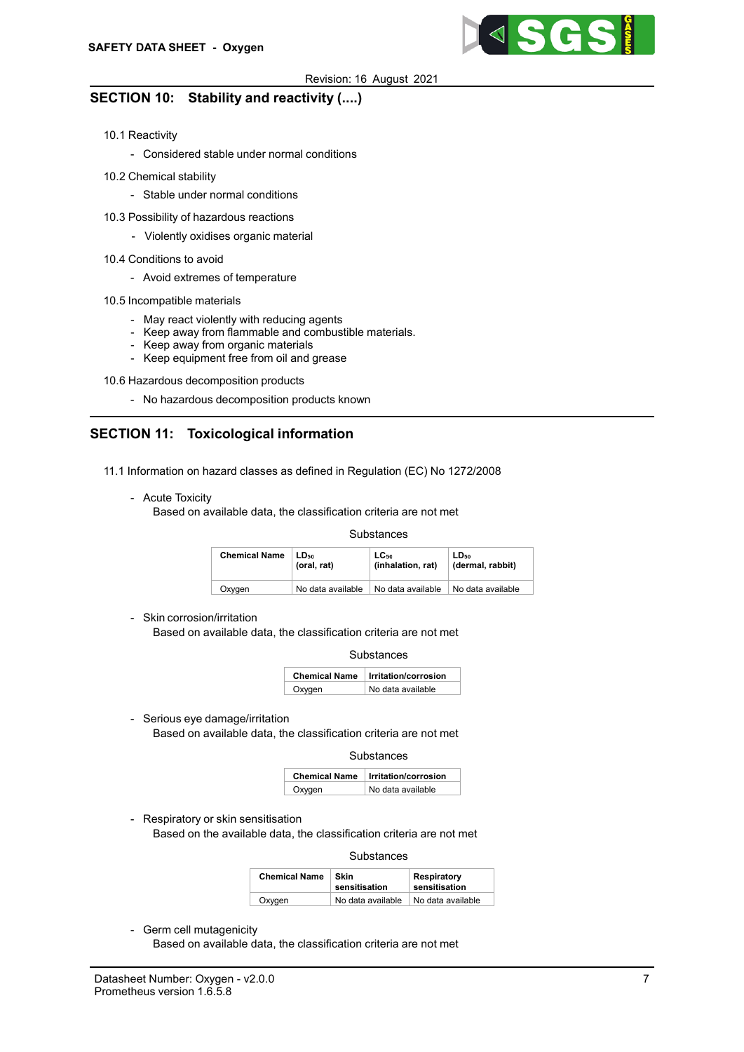

# SECTION 10: Stability and reactivity (....)

- 10.1 Reactivity
	- Considered stable under normal conditions
- 10.2 Chemical stability
	- Stable under normal conditions
- 10.3 Possibility of hazardous reactions
	- Violently oxidises organic material
- 10.4 Conditions to avoid
	- Avoid extremes of temperature
- 10.5 Incompatible materials
	- May react violently with reducing agents
	- Keep away from flammable and combustible materials.
	- Keep away from organic materials
	- Keep equipment free from oil and grease

10.6 Hazardous decomposition products

- No hazardous decomposition products known

# SECTION 11: Toxicological information

- 11.1 Information on hazard classes as defined in Regulation (EC) No 1272/2008
	- Acute Toxicity

Based on available data, the classification criteria are not met

### **Substances**

| <b>Chemical Name</b> | LD <sub>50</sub>  | $LC_{50}$         | LD <sub>50</sub>  |
|----------------------|-------------------|-------------------|-------------------|
|                      | (oral. rat)       | (inhalation, rat) | (dermal, rabbit)  |
| Oxygen               | No data available | No data available | No data available |

- Skin corrosion/irritation

Based on available data, the classification criteria are not met

|        | <b>Chemical Name   Irritation/corrosion</b> |  |
|--------|---------------------------------------------|--|
| Oxygen | No data available                           |  |

- Serious eye damage/irritation Based on available data, the classification criteria are not met

**Substances** 

|        | Chemical Name   Irritation/corrosion |  |
|--------|--------------------------------------|--|
| Oxygen | No data available                    |  |

- Respiratory or skin sensitisation

Based on the available data, the classification criteria are not met

**Substances** 

| <b>Chemical Name</b> | <b>Skin</b><br>sensitisation | Respiratory<br>sensitisation |
|----------------------|------------------------------|------------------------------|
| Oxygen               | No data available            | No data available            |

- Germ cell mutagenicity

Based on available data, the classification criteria are not met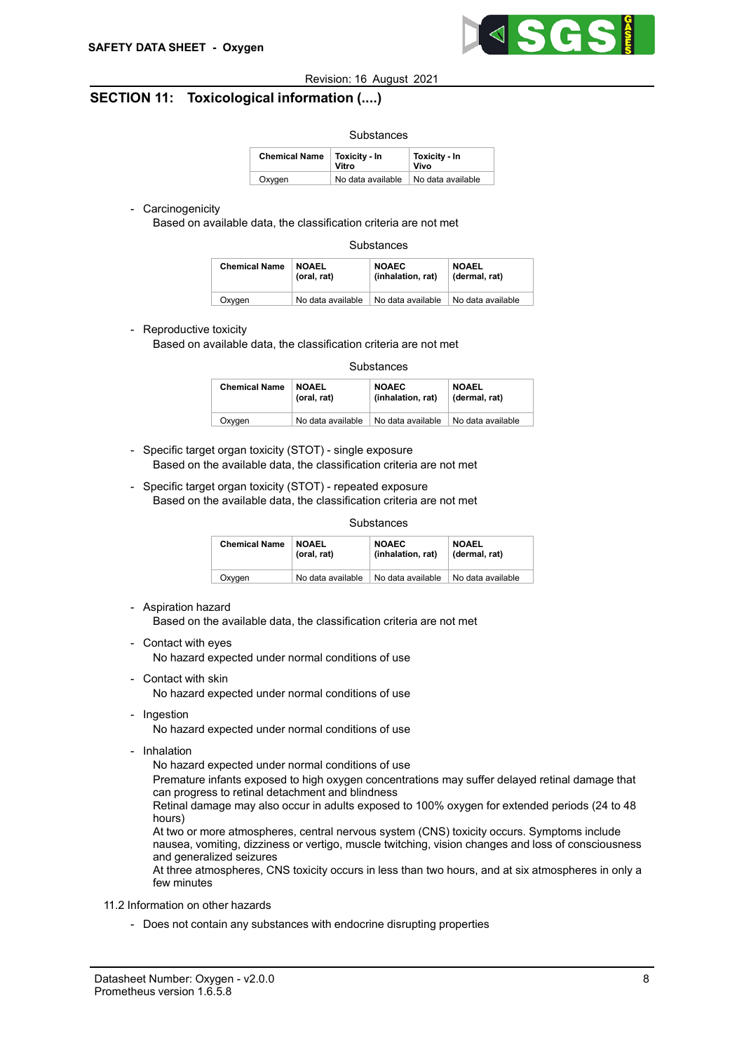

# SECTION 11: Toxicological information (....)

| Substances           |                               |                       |  |  |
|----------------------|-------------------------------|-----------------------|--|--|
| <b>Chemical Name</b> | <b>Toxicity - In</b><br>Vitro | Toxicity - In<br>Vivo |  |  |
| Oxygen               | No data available             | No data available     |  |  |

## - Carcinogenicity

Based on available data, the classification criteria are not met

| Substances |
|------------|
|------------|

| <b>Chemical Name</b> | <b>NOAEL</b>      | <b>NOAEC</b>      | <b>NOAEL</b>      |
|----------------------|-------------------|-------------------|-------------------|
|                      | (oral, rat)       | (inhalation, rat) | (dermal, rat)     |
| Oxvaen               | No data available | No data available | No data available |

## - Reproductive toxicity

Based on available data, the classification criteria are not met

| <b>Chemical Name</b> | <b>NOAEL</b>      | <b>NOAEC</b>      | <b>NOAEL</b>      |
|----------------------|-------------------|-------------------|-------------------|
|                      | (oral, rat)       | (inhalation, rat) | (dermal, rat)     |
| Oxygen               | No data available | No data available | No data available |

- Specific target organ toxicity (STOT) single exposure Based on the available data, the classification criteria are not met
- Specific target organ toxicity (STOT) repeated exposure Based on the available data, the classification criteria are not met

## **Substances**

| <b>Chemical Name</b> | <b>NOAEL</b>      | <b>NOAEC</b>      | <b>NOAEL</b>      |
|----------------------|-------------------|-------------------|-------------------|
|                      | (oral, rat)       | (inhalation, rat) | (dermal, rat)     |
| Oxygen               | No data available | No data available | No data available |

- Aspiration hazard

Based on the available data, the classification criteria are not met

- Contact with eyes

No hazard expected under normal conditions of use

- Contact with skin No hazard expected under normal conditions of use
- Ingestion

No hazard expected under normal conditions of use

- Inhalation

No hazard expected under normal conditions of use

Premature infants exposed to high oxygen concentrations may suffer delayed retinal damage that can progress to retinal detachment and blindness

Retinal damage may also occur in adults exposed to 100% oxygen for extended periods (24 to 48 hours)

At two or more atmospheres, central nervous system (CNS) toxicity occurs. Symptoms include nausea, vomiting, dizziness or vertigo, muscle twitching, vision changes and loss of consciousness and generalized seizures

At three atmospheres, CNS toxicity occurs in less than two hours, and at six atmospheres in only a few minutes

## 11.2 Information on other hazards

- Does not contain any substances with endocrine disrupting properties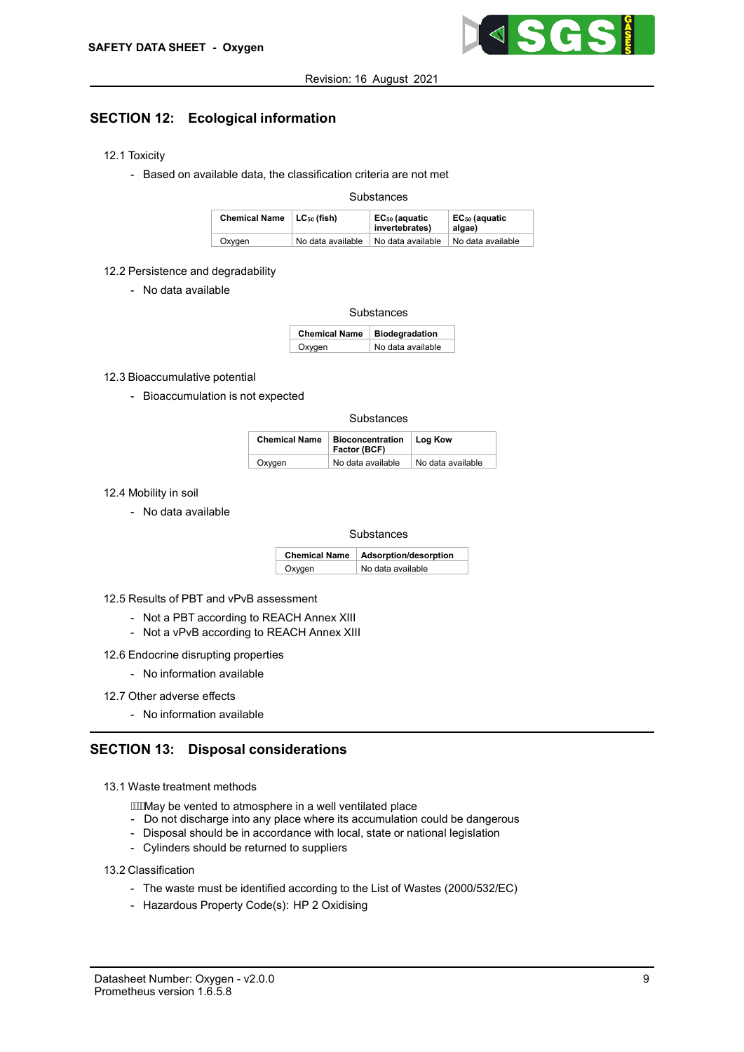

# SECTION 12: Ecological information

- 12.1 Toxicity
	- Based on available data, the classification criteria are not met

## **Substances**

| Chemical Name   LC <sub>50</sub> (fish) |                   | EC <sub>50</sub> (aquatic<br>invertebrates) | EC <sub>50</sub> (aquatic<br>algae) |
|-----------------------------------------|-------------------|---------------------------------------------|-------------------------------------|
| Oxygen                                  | No data available | No data available                           | No data available                   |

## 12.2 Persistence and degradability

- No data available

### Substances

| Chemical Name   Biodegradation |                   |
|--------------------------------|-------------------|
| Oxygen                         | No data available |

## 12.3 Bioaccumulative potential

- Bioaccumulation is not expected

**Substances** 

| <b>Chemical Name</b> | <b>Bioconcentration</b><br>Factor (BCF) | Log Kow           |
|----------------------|-----------------------------------------|-------------------|
| Oxygen               | No data available                       | No data available |

12.4 Mobility in soil

- No data available

| <b>Substances</b> |
|-------------------|
|-------------------|

| <b>Chemical Name</b> | Adsorption/desorption |
|----------------------|-----------------------|
| Oxygen               | No data available     |

12.5 Results of PBT and vPvB assessment

- Not a PBT according to REACH Annex XIII
- Not a vPvB according to REACH Annex XIII
- 12.6 Endocrine disrupting properties
	- No information available
- 12.7 Other adverse effects
	- No information available

## SECTION 13: Disposal considerations

- 13.1 Waste treatment methods
	- **EXM** ay be vented to atmosphere in a well ventilated place
	- Do not discharge into any place where its accumulation could be dangerous
	- Disposal should be in accordance with local, state or national legislation
	- Cylinders should be returned to suppliers

## 13.2 Classification

- The waste must be identified according to the List of Wastes (2000/532/EC)
- Hazardous Property Code(s): HP 2 Oxidising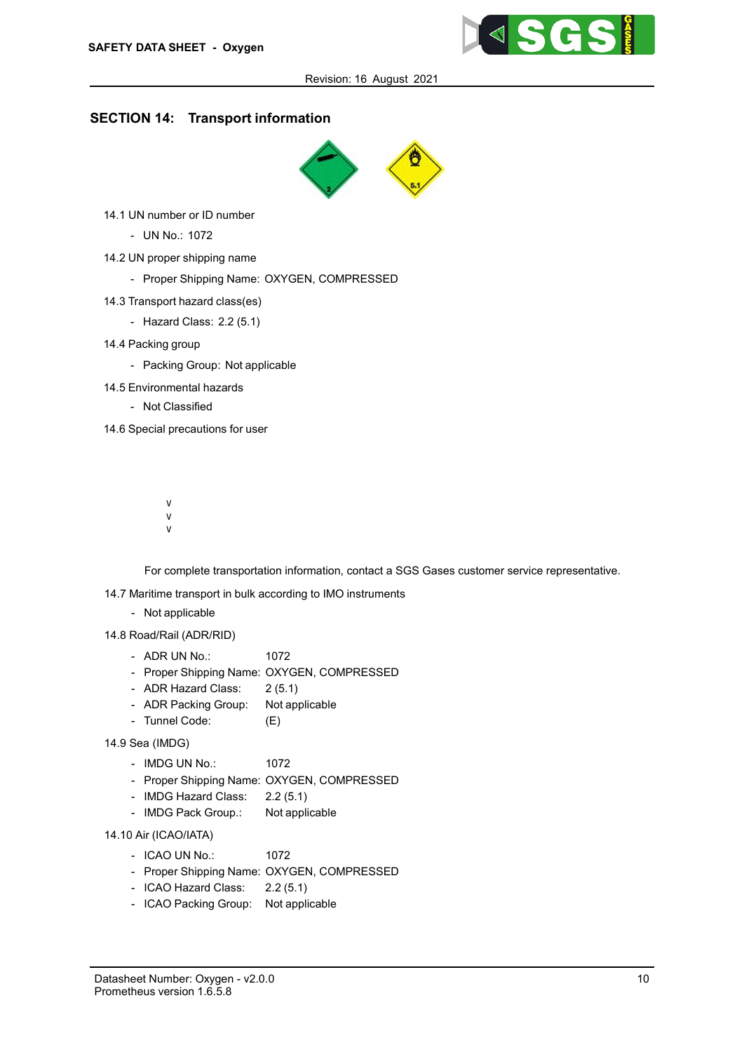

# SECTION 14: Transport information



- 14.1 UN number or ID number
	- UN No.: 1072
- 14.2 UN proper shipping name
	- Proper Shipping Name: OXYGEN, COMPRESSED
- 14.3 Transport hazard class(es)
	- Hazard Class: 2.2 (5.1)
- 14.4 Packing group
	- Packing Group: Not applicable
- 14.5 Environmental hazards
	- Not Classified

14.6 Special precautions for user

- ObgijfYY\`]XM{`]Yj UYkfUqf Kg\`dYc`hYbbJhUdf Kx `g`Yc` WXb Xbc kk g`UhdX`c] `br\Yj`Ybh
- c 20 HUW NJ & 110 bMha Yf [Yb Wm
- !5 jch] fXUb gcdhjcYf\h] kW\ YYEyYYc Ug XelU MAY cehYd Uf ZUfhcYaXX fh \ MWcfafdgUf ha Ybh "
- ! 6 Y Z dhff YUbg ddcffchXMMoWphh UY bby jifhp(XYY) fbby Yeij UYhbYh ]U bUXh.] c b
	- $\%$ d \ Umm $\overline{Z}$ ] fgaY WhiUDYXX" h \ Y j Wm ilj Whb  $\&$ gu B X c `hY U \_ ] b [ /
		- $\%$ h \jYU `g iYh' Ythi dWVU dH'ki \[Yuff Y j  $\check{\text{I}}$ ] XWEXH T X Wh h MX /
		- % $\phi$ h \jYU `q fYch YXWhil RtWbY Ydff Ye j ] XXWcX H 'X Wh h mX"
- ! H\Y'hf Ubgdcf h Uh ] c b ' ] b Z c f a Uh ] c b ' ] g ' b c h ' ] b h Y b X Y X ' h c ' Wc b j

For complete transportation information, contact a SGS Gases customer service representative.

- 14.7 Maritime transport in bulk according to IMO instruments
	- Not applicable
- 14.8 Road/Rail (ADR/RID)
	- ADR UN No.: 1072
	- Proper Shipping Name: OXYGEN, COMPRESSED
	- ADR Hazard Class: 2 (5.1)
	- ADR Packing Group: Not applicable
	- Tunnel Code: (E)
- 14.9 Sea (IMDG)
	- IMDG UN No.: 1072
	- Proper Shipping Name: OXYGEN, COMPRESSED
	- IMDG Hazard Class: 2.2 (5.1)
	- IMDG Pack Group.: Not applicable

14.10 Air (ICAO/IATA)

- ICAO UN No.: 1072
- Proper Shipping Name: OXYGEN, COMPRESSED
- ICAO Hazard Class: 2.2 (5.1)
- ICAO Packing Group: Not applicable